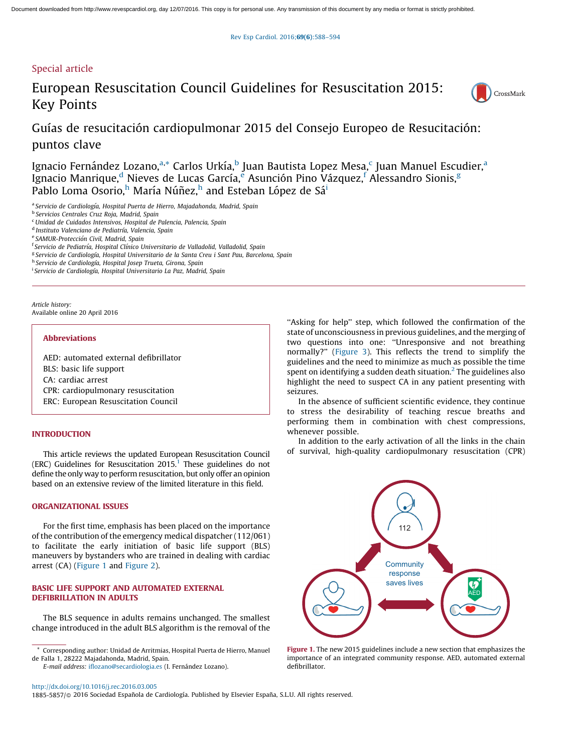# Special article

European Resuscitation Council Guidelines for Resuscitation 2015: Key Points



Guías de resucitación cardiopulmonar 2015 del Consejo Europeo de Resucitación: puntos clave

Ignacio Fernández Lozano,<sup>a,</sup>\* Carlos Urkía,<sup>b</sup> Juan Bautista Lopez Mesa,<sup>c</sup> Juan Manuel Escudier,<sup>a</sup> Ignacio Manrique,<sup>d</sup> Nieves de Lucas García,<sup>e</sup> Asunción Pino Vázquez,<sup>f</sup> Alessandro Sionis,<sup>g</sup> Pablo Loma Osorio,<sup>h</sup> María Núñez,<sup>h</sup> and Esteban López de Sá<sup>i</sup>

<sup>a</sup> Servicio de Cardiología, Hospital Puerta de Hierro, Majadahonda, Madrid, Spain

<sup>b</sup> Servicios Centrales Cruz Roja, Madrid, Spain

<sup>c</sup> Unidad de Cuidados Intensivos, Hospital de Palencia, Palencia, Spain

<sup>d</sup> Instituto Valenciano de Pediatría, Valencia, Spain

e SAMUR-Protección Civil, Madrid, Spain

<sup>f</sup> Servicio de Pediatría, Hospital Clínico Universitario de Valladolid, Valladolid, Spain

- <sup>g</sup> Servicio de Cardiología, Hospital Universitario de la Santa Creu i Sant Pau, Barcelona, Spain
- h Servicio de Cardiología, Hospital Josep Trueta, Girona, Spain

<sup>i</sup> Servicio de Cardiología, Hospital Universitario La Paz, Madrid, Spain

Article history: Available online 20 April 2016

#### Abbreviations

AED: automated external defibrillator BLS: basic life support CA: cardiac arrest CPR: cardiopulmonary resuscitation ERC: European Resuscitation Council

# INTRODUCTION

This article reviews the updated European Resuscitation Council (ERC) Guidelines for Resuscitation  $2015<sup>1</sup>$  These guidelines do not define the only way to perform resuscitation, but only offer an opinion based on an extensive review of the limited literature in this field.

# ORGANIZATIONAL ISSUES

For the first time, emphasis has been placed on the importance of the contribution of the emergency medical dispatcher (112/061) to facilitate the early initiation of basic life support (BLS) maneuvers by bystanders who are trained in dealing with cardiac arrest (CA) (Figure 1 and [Figure](#page-1-0) 2).

# BASIC LIFE SUPPORT AND AUTOMATED EXTERNAL DEFIBRILLATION IN ADULTS

The BLS sequence in adults remains unchanged. The smallest change introduced in the adult BLS algorithm is the removal of the

\* Corresponding author: Unidad de Arritmias, Hospital Puerta de Hierro, Manuel de Falla 1, 28222 Majadahonda, Madrid, Spain.

''Asking for help'' step, which followed the confirmation of the state of unconsciousness in previous guidelines, and the merging of two questions into one: ''Unresponsive and not breathing normally?'' [\(Figure](#page-2-0) 3). This reflects the trend to simplify the guidelines and the need to minimize as much as possible the time spent on identifying a sudden death situation. $<sup>2</sup>$  The guidelines also</sup> highlight the need to suspect CA in any patient presenting with seizures.

In the absence of sufficient scientific evidence, they continue to stress the desirability of teaching rescue breaths and performing them in combination with chest compressions, whenever possible.

In addition to the early activation of all the links in the chain of survival, high-quality cardiopulmonary resuscitation (CPR)



Figure 1. The new 2015 guidelines include a new section that emphasizes the importance of an integrated community response. AED, automated external defibrillator.

<http://dx.doi.org/10.1016/j.rec.2016.03.005>

1885-5857/© 2016 Sociedad Española de Cardiología. Published by Elsevier España, S.L.U. All rights reserved.

E-mail address: [iflozano@secardiologia.es](mailto:iflozano@secardiologia.es) (I. Fernández Lozano).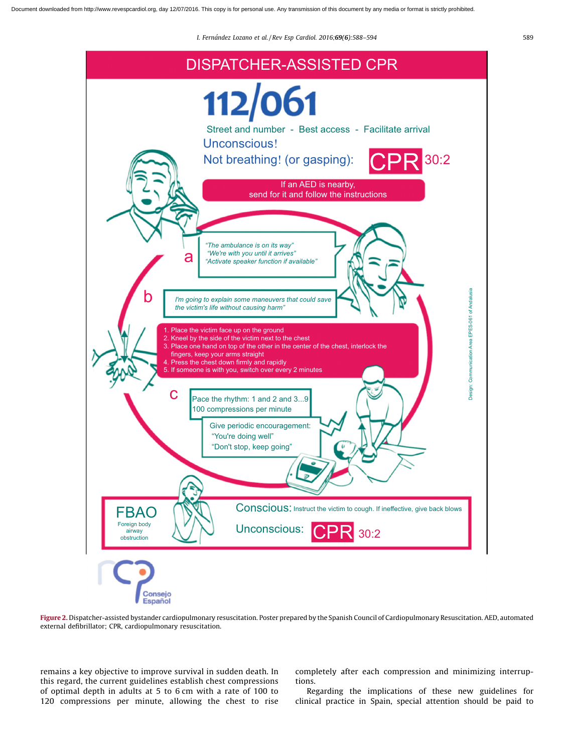I. Ferna´ndez Lozano et al. / Rev Esp Cardiol. 2016;69(6):588–594 589

<span id="page-1-0"></span>

Figure 2. Dispatcher-assisted bystander cardiopulmonary resuscitation. Poster prepared by the Spanish Council of Cardiopulmonary Resuscitation. AED, automated external defibrillator; CPR, cardiopulmonary resuscitation.

remains a key objective to improve survival in sudden death. In this regard, the current guidelines establish chest compressions of optimal depth in adults at 5 to 6 cm with a rate of 100 to 120 compressions per minute, allowing the chest to rise

Español

completely after each compression and minimizing interruptions.

Regarding the implications of these new guidelines for clinical practice in Spain, special attention should be paid to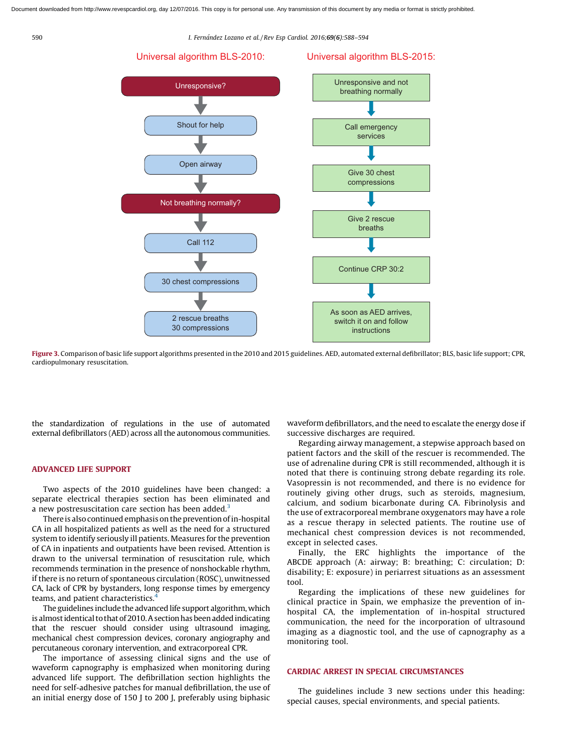<span id="page-2-0"></span>

590 I. Ferna´ndez Lozano et al. / Rev Esp Cardiol. 2016;69(6):588–594

# Universal algorithm BLS-2010:

# Universal algorithm BLS-2015:

![](_page_2_Figure_5.jpeg)

Figure 3. Comparison of basic life support algorithms presented in the 2010 and 2015 guidelines. AED, automated external defibrillator; BLS, basic life support; CPR, cardiopulmonary resuscitation.

the standardization of regulations in the use of automated external defibrillators (AED) across all the autonomous communities.

# ADVANCED LIFE SUPPORT

Two aspects of the 2010 guidelines have been changed: a separate electrical therapies section has been eliminated and a new postresuscitation care section has been added. $3$ 

There is also continued emphasis on the prevention of in-hospital CA in all hospitalized patients as well as the need for a structured system to identify seriously ill patients. Measures for the prevention of CA in inpatients and outpatients have been revised. Attention is drawn to the universal termination of resuscitation rule, which recommends termination in the presence of nonshockable rhythm, if there is no return of spontaneous circulation (ROSC), unwitnessed CA, lack of CPR by bystanders, long response times by emergency teams, and patient characteristics.<sup>4</sup>

The guidelines include the advanced life support algorithm, which is almost identical to that of 2010. A section has been added indicating that the rescuer should consider using ultrasound imaging, mechanical chest compression devices, coronary angiography and percutaneous coronary intervention, and extracorporeal CPR.

The importance of assessing clinical signs and the use of waveform capnography is emphasized when monitoring during advanced life support. The defibrillation section highlights the need for self-adhesive patches for manual defibrillation, the use of an initial energy dose of 150 J to 200 J, preferably using biphasic

waveform defibrillators, and the need to escalate the energy dose if successive discharges are required.

Regarding airway management, a stepwise approach based on patient factors and the skill of the rescuer is recommended. The use of adrenaline during CPR is still recommended, although it is noted that there is continuing strong debate regarding its role. Vasopressin is not recommended, and there is no evidence for routinely giving other drugs, such as steroids, magnesium, calcium, and sodium bicarbonate during CA. Fibrinolysis and the use of extracorporeal membrane oxygenators may have a role as a rescue therapy in selected patients. The routine use of mechanical chest compression devices is not recommended, except in selected cases.

Finally, the ERC highlights the importance of the ABCDE approach (A: airway; B: breathing; C: circulation; D: disability; E: exposure) in periarrest situations as an assessment tool.

Regarding the implications of these new guidelines for clinical practice in Spain, we emphasize the prevention of inhospital CA, the implementation of in-hospital structured communication, the need for the incorporation of ultrasound imaging as a diagnostic tool, and the use of capnography as a monitoring tool.

# CARDIAC ARREST IN SPECIAL CIRCUMSTANCES

The guidelines include 3 new sections under this heading: special causes, special environments, and special patients.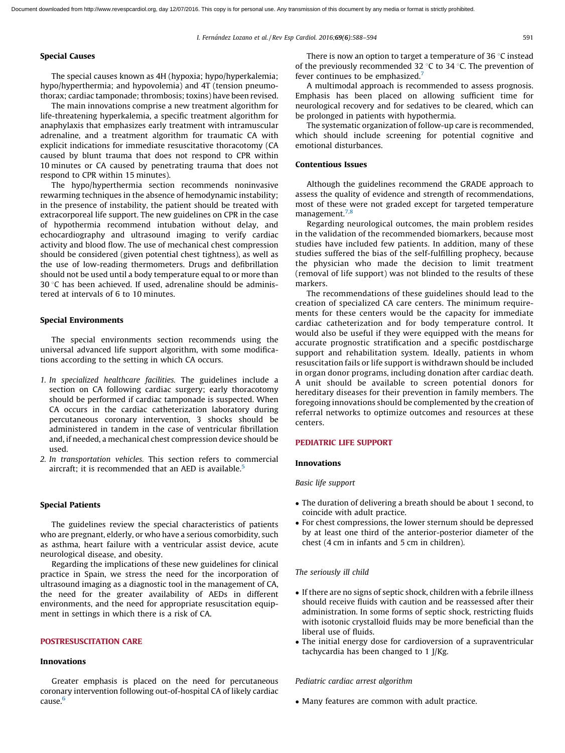#### Special Causes

The special causes known as 4H (hypoxia; hypo/hyperkalemia; hypo/hyperthermia; and hypovolemia) and 4T (tension pneumothorax; cardiac tamponade; thrombosis; toxins) have been revised.

The main innovations comprise a new treatment algorithm for life-threatening hyperkalemia, a specific treatment algorithm for anaphylaxis that emphasizes early treatment with intramuscular adrenaline, and a treatment algorithm for traumatic CA with explicit indications for immediate resuscitative thoracotomy (CA caused by blunt trauma that does not respond to CPR within 10 minutes or CA caused by penetrating trauma that does not respond to CPR within 15 minutes).

The hypo/hyperthermia section recommends noninvasive rewarming techniques in the absence of hemodynamic instability; in the presence of instability, the patient should be treated with extracorporeal life support. The new guidelines on CPR in the case of hypothermia recommend intubation without delay, and echocardiography and ultrasound imaging to verify cardiac activity and blood flow. The use of mechanical chest compression should be considered (given potential chest tightness), as well as the use of low-reading thermometers. Drugs and defibrillation should not be used until a body temperature equal to or more than  $30^{\circ}$ C has been achieved. If used, adrenaline should be administered at intervals of 6 to 10 minutes.

#### Special Environments

The special environments section recommends using the universal advanced life support algorithm, with some modifications according to the setting in which CA occurs.

- 1. In specialized healthcare facilities. The guidelines include a section on CA following cardiac surgery; early thoracotomy should be performed if cardiac tamponade is suspected. When CA occurs in the cardiac catheterization laboratory during percutaneous coronary intervention, 3 shocks should be administered in tandem in the case of ventricular fibrillation and, if needed, a mechanical chest compression device should be used.
- 2. In transportation vehicles. This section refers to commercial aircraft; it is recommended that an AED is available.<sup>[5](#page-5-0)</sup>

# Special Patients

The guidelines review the special characteristics of patients who are pregnant, elderly, or who have a serious comorbidity, such as asthma, heart failure with a ventricular assist device, acute neurological disease, and obesity.

Regarding the implications of these new guidelines for clinical practice in Spain, we stress the need for the incorporation of ultrasound imaging as a diagnostic tool in the management of CA, the need for the greater availability of AEDs in different environments, and the need for appropriate resuscitation equipment in settings in which there is a risk of CA.

### POSTRESUSCITATION CARE

### Innovations

Greater emphasis is placed on the need for percutaneous coronary intervention following out-of-hospital CA of likely cardiac cause.<sup>6</sup>

There is now an option to target a temperature of 36  $\degree$ C instead of the previously recommended 32 °C to 34 °C. The prevention of fever continues to be emphasized. $\frac{7}{2}$  $\frac{7}{2}$  $\frac{7}{2}$ 

A multimodal approach is recommended to assess prognosis. Emphasis has been placed on allowing sufficient time for neurological recovery and for sedatives to be cleared, which can be prolonged in patients with hypothermia.

The systematic organization of follow-up care is recommended, which should include screening for potential cognitive and emotional disturbances.

#### Contentious Issues

Although the guidelines recommend the GRADE approach to assess the quality of evidence and strength of recommendations, most of these were not graded except for targeted temperature management.[7,8](#page-5-0)

Regarding neurological outcomes, the main problem resides in the validation of the recommended biomarkers, because most studies have included few patients. In addition, many of these studies suffered the bias of the self-fulfilling prophecy, because the physician who made the decision to limit treatment (removal of life support) was not blinded to the results of these markers.

The recommendations of these guidelines should lead to the creation of specialized CA care centers. The minimum requirements for these centers would be the capacity for immediate cardiac catheterization and for body temperature control. It would also be useful if they were equipped with the means for accurate prognostic stratification and a specific postdischarge support and rehabilitation system. Ideally, patients in whom resuscitation fails or life support is withdrawn should be included in organ donor programs, including donation after cardiac death. A unit should be available to screen potential donors for hereditary diseases for their prevention in family members. The foregoing innovations should be complemented by the creation of referral networks to optimize outcomes and resources at these centers.

# PEDIATRIC LIFE SUPPORT

# Innovations

#### Basic life support

- The duration of delivering a breath should be about 1 second, to coincide with adult practice.
- For chest compressions, the lower sternum should be depressed by at least one third of the anterior-posterior diameter of the chest (4 cm in infants and 5 cm in children).

#### The seriously ill child

- If there are no signs of septic shock, children with a febrile illness should receive fluids with caution and be reassessed after their administration. In some forms of septic shock, restricting fluids with isotonic crystalloid fluids may be more beneficial than the liberal use of fluids.
- The initial energy dose for cardioversion of a supraventricular tachycardia has been changed to 1 J/Kg.

#### Pediatric cardiac arrest algorithm

- Many features are common with adult practice.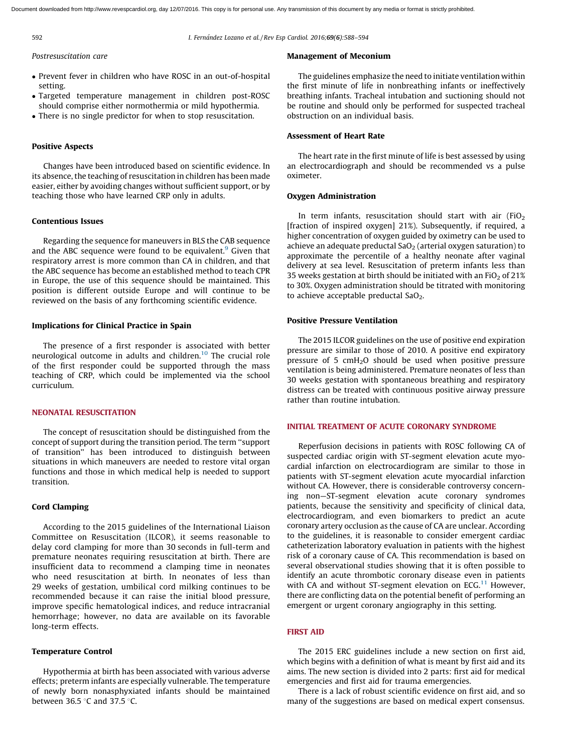592 I. Ferna´ndez Lozano et al. / Rev Esp Cardiol. 2016;69(6):588–594

Postresuscitation care

- Prevent fever in children who have ROSC in an out-of-hospital setting.
- Targeted temperature management in children post-ROSC should comprise either normothermia or mild hypothermia.
- There is no single predictor for when to stop resuscitation.

#### Positive Aspects

Changes have been introduced based on scientific evidence. In its absence, the teaching of resuscitation in children has been made easier, either by avoiding changes without sufficient support, or by teaching those who have learned CRP only in adults.

# Contentious Issues

Regarding the sequence for maneuvers in BLS the CAB sequence and the ABC sequence were found to be equivalent. $9$  Given that respiratory arrest is more common than CA in children, and that the ABC sequence has become an established method to teach CPR in Europe, the use of this sequence should be maintained. This position is different outside Europe and will continue to be reviewed on the basis of any forthcoming scientific evidence.

#### Implications for Clinical Practice in Spain

The presence of a first responder is associated with better neurological outcome in adults and children. $10$  The crucial role of the first responder could be supported through the mass teaching of CRP, which could be implemented via the school curriculum.

# NEONATAL RESUSCITATION

The concept of resuscitation should be distinguished from the concept of support during the transition period. The term ''support of transition'' has been introduced to distinguish between situations in which maneuvers are needed to restore vital organ functions and those in which medical help is needed to support transition.

# Cord Clamping

According to the 2015 guidelines of the International Liaison Committee on Resuscitation (ILCOR), it seems reasonable to delay cord clamping for more than 30 seconds in full-term and premature neonates requiring resuscitation at birth. There are insufficient data to recommend a clamping time in neonates who need resuscitation at birth. In neonates of less than 29 weeks of gestation, umbilical cord milking continues to be recommended because it can raise the initial blood pressure, improve specific hematological indices, and reduce intracranial hemorrhage; however, no data are available on its favorable long-term effects.

#### Temperature Control

Hypothermia at birth has been associated with various adverse effects; preterm infants are especially vulnerable. The temperature of newly born nonasphyxiated infants should be maintained between  $36.5$  °C and  $37.5$  °C.

#### Management of Meconium

The guidelines emphasize the need to initiate ventilation within the first minute of life in nonbreathing infants or ineffectively breathing infants. Tracheal intubation and suctioning should not be routine and should only be performed for suspected tracheal obstruction on an individual basis.

# Assessment of Heart Rate

The heart rate in the first minute of life is best assessed by using an electrocardiograph and should be recommended vs a pulse oximeter.

### Oxygen Administration

In term infants, resuscitation should start with air (FiO<sub>2</sub>) [fraction of inspired oxygen] 21%). Subsequently, if required, a higher concentration of oxygen guided by oximetry can be used to achieve an adequate preductal  $Sao<sub>2</sub>$  (arterial oxygen saturation) to approximate the percentile of a healthy neonate after vaginal delivery at sea level. Resuscitation of preterm infants less than 35 weeks gestation at birth should be initiated with an  $FiO<sub>2</sub>$  of 21% to 30%. Oxygen administration should be titrated with monitoring to achieve acceptable preductal  $SaO<sub>2</sub>$ .

#### Positive Pressure Ventilation

The 2015 ILCOR guidelines on the use of positive end expiration pressure are similar to those of 2010. A positive end expiratory pressure of 5 cmH2O should be used when positive pressure ventilation is being administered. Premature neonates of less than 30 weeks gestation with spontaneous breathing and respiratory distress can be treated with continuous positive airway pressure rather than routine intubation.

# INITIAL TREATMENT OF ACUTE CORONARY SYNDROME

Reperfusion decisions in patients with ROSC following CA of suspected cardiac origin with ST-segment elevation acute myocardial infarction on electrocardiogram are similar to those in patients with ST-segment elevation acute myocardial infarction without CA. However, there is considerable controversy concerning non—ST-segment elevation acute coronary syndromes patients, because the sensitivity and specificity of clinical data, electrocardiogram, and even biomarkers to predict an acute coronary artery occlusion as the cause of CA are unclear. According to the guidelines, it is reasonable to consider emergent cardiac catheterization laboratory evaluation in patients with the highest risk of a coronary cause of CA. This recommendation is based on several observational studies showing that it is often possible to identify an acute thrombotic coronary disease even in patients with CA and without ST-segment elevation on ECG.<sup>[11](#page-6-0)</sup> However, there are conflicting data on the potential benefit of performing an emergent or urgent coronary angiography in this setting.

# FIRST AID

The 2015 ERC guidelines include a new section on first aid, which begins with a definition of what is meant by first aid and its aims. The new section is divided into 2 parts: first aid for medical emergencies and first aid for trauma emergencies.

There is a lack of robust scientific evidence on first aid, and so many of the suggestions are based on medical expert consensus.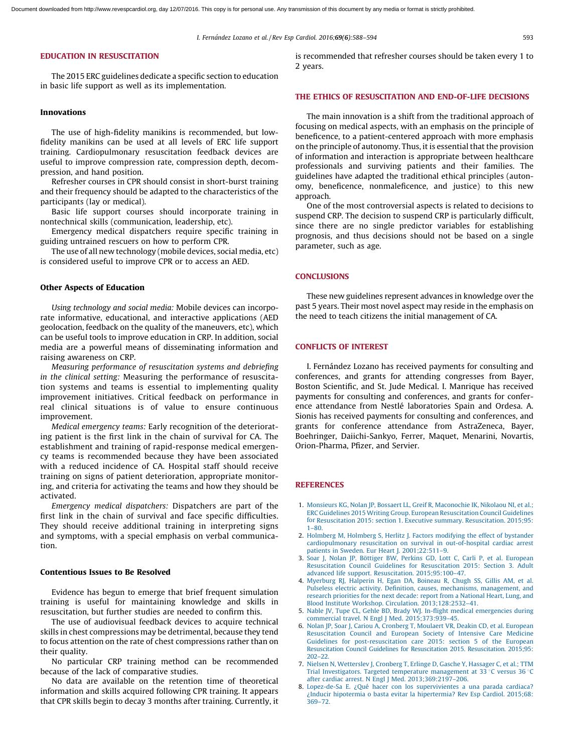# <span id="page-5-0"></span>EDUCATION IN RESUSCITATION

The 2015 ERC guidelines dedicate a specific section to education in basic life support as well as its implementation.

#### Innovations

The use of high-fidelity manikins is recommended, but lowfidelity manikins can be used at all levels of ERC life support training. Cardiopulmonary resuscitation feedback devices are useful to improve compression rate, compression depth, decompression, and hand position.

Refresher courses in CPR should consist in short-burst training and their frequency should be adapted to the characteristics of the participants (lay or medical).

Basic life support courses should incorporate training in nontechnical skills (communication, leadership, etc).

Emergency medical dispatchers require specific training in guiding untrained rescuers on how to perform CPR.

The use of all new technology (mobile devices, social media, etc) is considered useful to improve CPR or to access an AED.

#### Other Aspects of Education

Using technology and social media: Mobile devices can incorporate informative, educational, and interactive applications (AED geolocation, feedback on the quality of the maneuvers, etc), which can be useful tools to improve education in CRP. In addition, social media are a powerful means of disseminating information and raising awareness on CRP.

Measuring performance of resuscitation systems and debriefing in the clinical setting: Measuring the performance of resuscitation systems and teams is essential to implementing quality improvement initiatives. Critical feedback on performance in real clinical situations is of value to ensure continuous improvement.

Medical emergency teams: Early recognition of the deteriorating patient is the first link in the chain of survival for CA. The establishment and training of rapid-response medical emergency teams is recommended because they have been associated with a reduced incidence of CA. Hospital staff should receive training on signs of patient deterioration, appropriate monitoring, and criteria for activating the teams and how they should be activated.

Emergency medical dispatchers: Dispatchers are part of the first link in the chain of survival and face specific difficulties. They should receive additional training in interpreting signs and symptoms, with a special emphasis on verbal communication.

#### Contentious Issues to Be Resolved

Evidence has begun to emerge that brief frequent simulation training is useful for maintaining knowledge and skills in resuscitation, but further studies are needed to confirm this.

The use of audiovisual feedback devices to acquire technical skills in chest compressions may be detrimental, because they tend to focus attention on the rate of chest compressions rather than on their quality.

No particular CRP training method can be recommended because of the lack of comparative studies.

No data are available on the retention time of theoretical information and skills acquired following CPR training. It appears that CPR skills begin to decay 3 months after training. Currently, it is recommended that refresher courses should be taken every 1 to 2 years.

# THE ETHICS OF RESUSCITATION AND END-OF-LIFE DECISIONS

The main innovation is a shift from the traditional approach of focusing on medical aspects, with an emphasis on the principle of beneficence, to a patient-centered approach with more emphasis on the principle of autonomy. Thus, it is essential that the provision of information and interaction is appropriate between healthcare professionals and surviving patients and their families. The guidelines have adapted the traditional ethical principles (autonomy, beneficence, nonmaleficence, and justice) to this new approach.

One of the most controversial aspects is related to decisions to suspend CRP. The decision to suspend CRP is particularly difficult, since there are no single predictor variables for establishing prognosis, and thus decisions should not be based on a single parameter, such as age.

### **CONCLUSIONS**

These new guidelines represent advances in knowledge over the past 5 years. Their most novel aspect may reside in the emphasis on the need to teach citizens the initial management of CA.

# CONFLICTS OF INTEREST

I. Fernández Lozano has received payments for consulting and conferences, and grants for attending congresses from Bayer, Boston Scientific, and St. Jude Medical. I. Manrique has received payments for consulting and conferences, and grants for conference attendance from Nestlé laboratories Spain and Ordesa. A. Sionis has received payments for consulting and conferences, and grants for conference attendance from AstraZeneca, Bayer, Boehringer, Daiichi-Sankyo, Ferrer, Maquet, Menarini, Novartis, Orion-Pharma, Pfizer, and Servier.

# **REFERENCES**

- 1. Monsieurs KG, Nolan JP, Bossaert LL, Greif R, [Maconochie](http://refhub.elsevier.com/S1885-5857(16)30004-4/sbref0060) IK, Nikolaou NI, et al.; ERC Guidelines 2015 Writing Group. European [Resuscitation](http://refhub.elsevier.com/S1885-5857(16)30004-4/sbref0060) Council Guidelines for Resuscitation 2015: section 1. Executive summary. [Resuscitation.](http://refhub.elsevier.com/S1885-5857(16)30004-4/sbref0060) 2015;95: [1–80.](http://refhub.elsevier.com/S1885-5857(16)30004-4/sbref0060)
- 2. Holmberg M, Holmberg S, Herlitz J. Factors [modifying](http://refhub.elsevier.com/S1885-5857(16)30004-4/sbref0065) the effect of bystander [cardiopulmonary](http://refhub.elsevier.com/S1885-5857(16)30004-4/sbref0065) resuscitation on survival in out-of-hospital cardiac arrest patients in Sweden. Eur Heart J. [2001;22:511–9](http://refhub.elsevier.com/S1885-5857(16)30004-4/sbref0065).
- 3. Soar J, Nolan JP, Böttiger BW, Perkins GD, Lott C, Carli P, et al. [European](http://refhub.elsevier.com/S1885-5857(16)30004-4/sbref0070) Resuscitation Council Guidelines for [Resuscitation](http://refhub.elsevier.com/S1885-5857(16)30004-4/sbref0070) 2015: Section 3. Adult advanced life support. Resuscitation. [2015;95:100–47.](http://refhub.elsevier.com/S1885-5857(16)30004-4/sbref0070)
- 4. [Myerburg](http://refhub.elsevier.com/S1885-5857(16)30004-4/sbref0075) RJ, Halperin H, Egan DA, Boineau R, Chugh SS, Gillis AM, et al. Pulseless electric activity. Definition, causes, mechanisms, [management,](http://refhub.elsevier.com/S1885-5857(16)30004-4/sbref0075) and research [priorities](http://refhub.elsevier.com/S1885-5857(16)30004-4/sbref0075) for the next decade: report from a National Heart, Lung, and Blood Institute Workshop. Circulation. [2013;128:2532–41.](http://refhub.elsevier.com/S1885-5857(16)30004-4/sbref0075)
- 5. Nable JV, Tupe CL, Gehle BD, Brady WJ. In-flight medical [emergencies](http://refhub.elsevier.com/S1885-5857(16)30004-4/sbref0080) during commercial travel. N Engl J Med. [2015;373:939–45](http://refhub.elsevier.com/S1885-5857(16)30004-4/sbref0080).
- 6. Nolan JP, Soar J, Cariou A, Cronberg T, Moulaert VR, Deakin CD, et al. [European](http://refhub.elsevier.com/S1885-5857(16)30004-4/sbref0085) [Resuscitation](http://refhub.elsevier.com/S1885-5857(16)30004-4/sbref0085) Council and European Society of Intensive Care Medicine Guidelines for [post-resuscitation](http://refhub.elsevier.com/S1885-5857(16)30004-4/sbref0085) care 2015: section 5 of the European Resuscitation Council Guidelines for Resuscitation 2015. [Resuscitation.](http://refhub.elsevier.com/S1885-5857(16)30004-4/sbref0085) 2015;95: [202–22.](http://refhub.elsevier.com/S1885-5857(16)30004-4/sbref0085)
- 7. Nielsen N, [Wetterslev](http://refhub.elsevier.com/S1885-5857(16)30004-4/sbref0090) J, Cronberg T, Erlinge D, Gasche Y, Hassager C, et al.; TTM Trial [Investigators.](http://refhub.elsevier.com/S1885-5857(16)30004-4/sbref0090) Targeted temperature management at 33 °C versus 36 °C after cardiac arrest. N Engl J Med. [2013;369:2197–206.](http://refhub.elsevier.com/S1885-5857(16)30004-4/sbref0090)
- 8. Lopez-de-Sa E. ¿Qué hacer con los [supervivientes](http://refhub.elsevier.com/S1885-5857(16)30004-4/sbref0095) a una parada cardiaca? ? Inducir hipotermia o basta evitar la [hipertermia?](http://refhub.elsevier.com/S1885-5857(16)30004-4/sbref0095) Rev Esp Cardiol. 2015;68: [369–72.](http://refhub.elsevier.com/S1885-5857(16)30004-4/sbref0095)